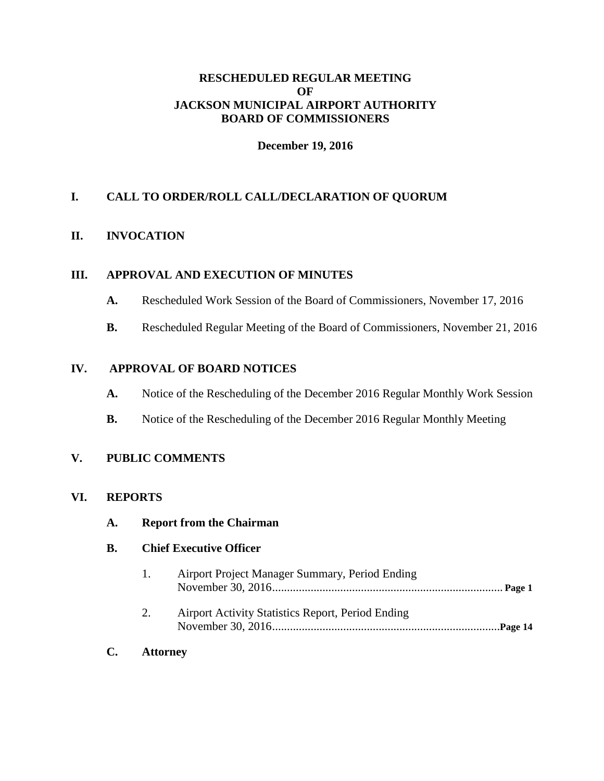### **RESCHEDULED REGULAR MEETING OF JACKSON MUNICIPAL AIRPORT AUTHORITY BOARD OF COMMISSIONERS**

### **December 19, 2016**

## **I. CALL TO ORDER/ROLL CALL/DECLARATION OF QUORUM**

### **II. INVOCATION**

### **III. APPROVAL AND EXECUTION OF MINUTES**

- **A.** Rescheduled Work Session of the Board of Commissioners, November 17, 2016
- **B.** Rescheduled Regular Meeting of the Board of Commissioners, November 21, 2016

#### **IV. APPROVAL OF BOARD NOTICES**

- **A.** Notice of the Rescheduling of the December 2016 Regular Monthly Work Session
- **B.** Notice of the Rescheduling of the December 2016 Regular Monthly Meeting

# **V. PUBLIC COMMENTS**

#### **VI. REPORTS**

**A. Report from the Chairman**

### **B. Chief Executive Officer**

- 1. Airport Project Manager Summary, Period Ending November 30, 2016.............................................................................. **Page 1** 2. Airport Activity Statistics Report, Period Ending
- November 30, 2016.............................................................................**Page 14**
- **C. Attorney**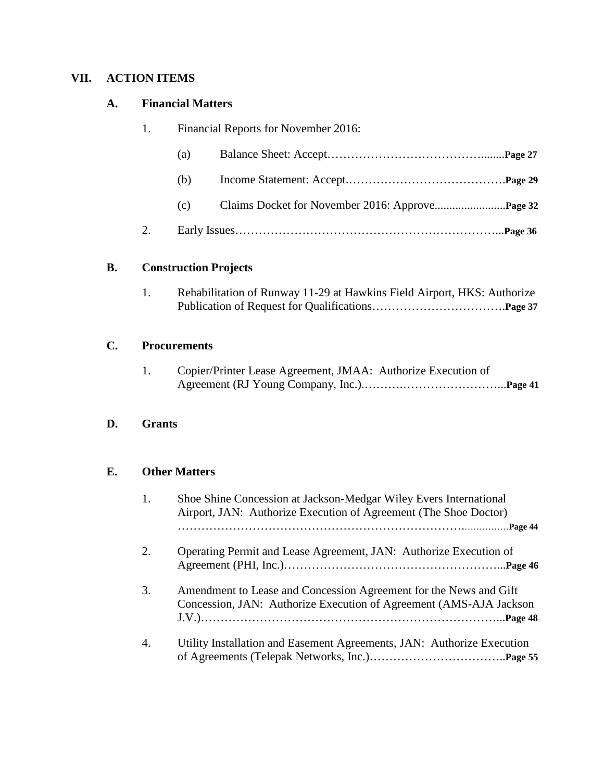## **VII. ACTION ITEMS**

### **A. Financial Matters**

| 1. | Financial Reports for November 2016: |  |  |
|----|--------------------------------------|--|--|
|    | (a)                                  |  |  |
|    | (b)                                  |  |  |
|    | (c)                                  |  |  |
|    |                                      |  |  |

# **B. Construction Projects**

| Rehabilitation of Runway 11-29 at Hawkins Field Airport, HKS: Authorize |
|-------------------------------------------------------------------------|
|                                                                         |

#### **C. Procurements**

1. Copier/Printer Lease Agreement, JMAA: Authorize Execution of Agreement (RJ Young Company, Inc.).……….……………………...**Page 41**

# **D. Grants**

## **E. Other Matters**

| 1. | Shoe Shine Concession at Jackson-Medgar Wiley Evers International<br>Airport, JAN: Authorize Execution of Agreement (The Shoe Doctor)    |
|----|------------------------------------------------------------------------------------------------------------------------------------------|
|    |                                                                                                                                          |
| 2. | Operating Permit and Lease Agreement, JAN: Authorize Execution of                                                                        |
| 3. | Amendment to Lease and Concession Agreement for the News and Gift<br>Concession, JAN: Authorize Execution of Agreement (AMS-AJA Jackson) |
| 4. | Utility Installation and Easement Agreements, JAN: Authorize Execution                                                                   |